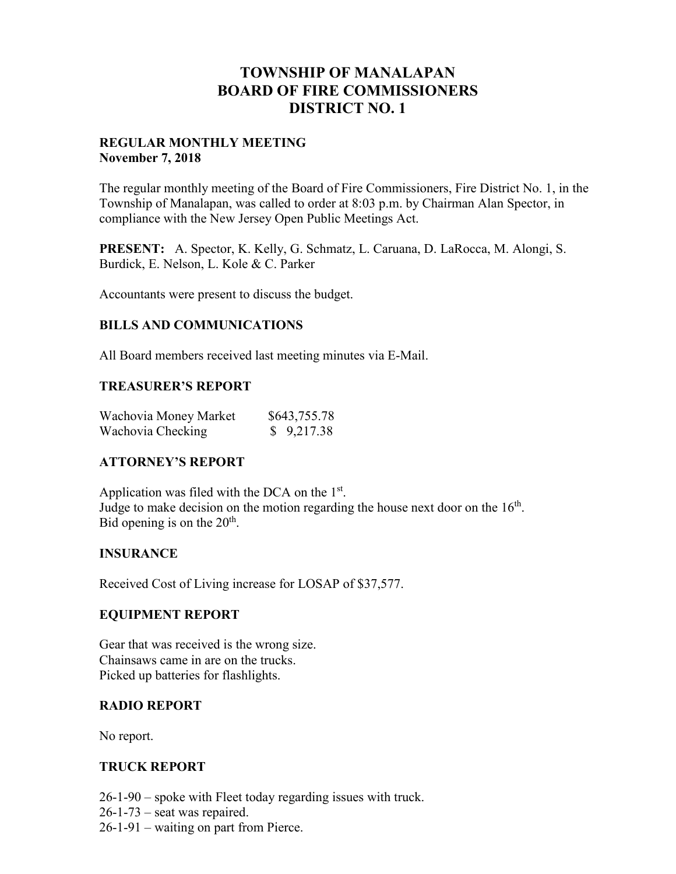## **TOWNSHIP OF MANALAPAN BOARD OF FIRE COMMISSIONERS DISTRICT NO. 1**

## **REGULAR MONTHLY MEETING November 7, 2018**

The regular monthly meeting of the Board of Fire Commissioners, Fire District No. 1, in the Township of Manalapan, was called to order at 8:03 p.m. by Chairman Alan Spector, in compliance with the New Jersey Open Public Meetings Act.

**PRESENT:** A. Spector, K. Kelly, G. Schmatz, L. Caruana, D. LaRocca, M. Alongi, S. Burdick, E. Nelson, L. Kole & C. Parker

Accountants were present to discuss the budget.

## **BILLS AND COMMUNICATIONS**

All Board members received last meeting minutes via E-Mail.

#### **TREASURER'S REPORT**

| Wachovia Money Market | \$643,755.78 |
|-----------------------|--------------|
| Wachovia Checking     | \$9,217.38   |

## **ATTORNEY'S REPORT**

Application was filed with the DCA on the 1st. Judge to make decision on the motion regarding the house next door on the  $16<sup>th</sup>$ . Bid opening is on the  $20<sup>th</sup>$ .

#### **INSURANCE**

Received Cost of Living increase for LOSAP of \$37,577.

#### **EQUIPMENT REPORT**

Gear that was received is the wrong size. Chainsaws came in are on the trucks. Picked up batteries for flashlights.

#### **RADIO REPORT**

No report.

#### **TRUCK REPORT**

26-1-90 – spoke with Fleet today regarding issues with truck.

- $26-1-73$  seat was repaired.
- 26-1-91 waiting on part from Pierce.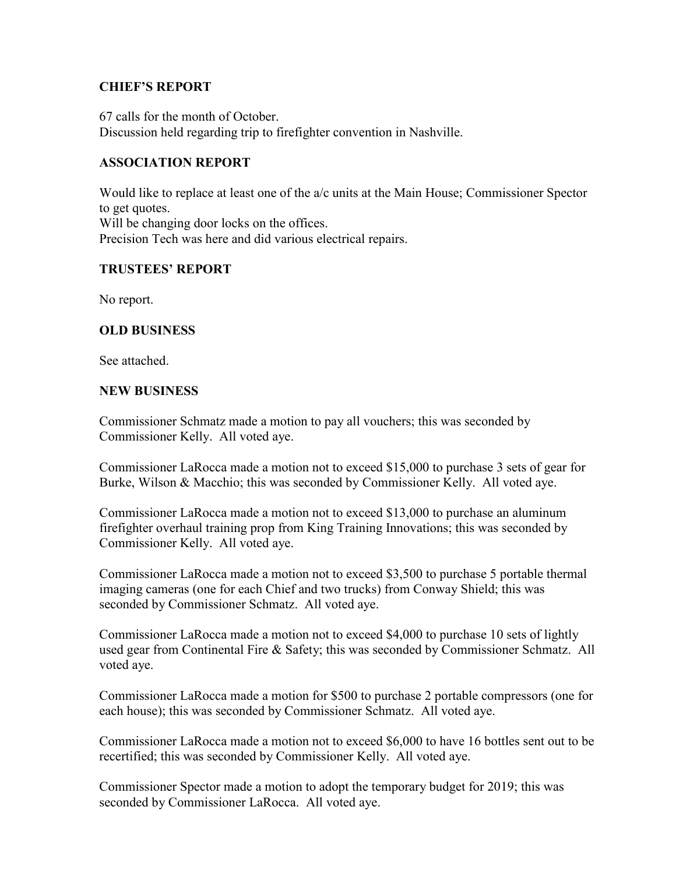## **CHIEF'S REPORT**

67 calls for the month of October. Discussion held regarding trip to firefighter convention in Nashville.

## **ASSOCIATION REPORT**

Would like to replace at least one of the a/c units at the Main House; Commissioner Spector to get quotes. Will be changing door locks on the offices. Precision Tech was here and did various electrical repairs.

## **TRUSTEES' REPORT**

No report.

## **OLD BUSINESS**

See attached.

## **NEW BUSINESS**

Commissioner Schmatz made a motion to pay all vouchers; this was seconded by Commissioner Kelly. All voted aye.

Commissioner LaRocca made a motion not to exceed \$15,000 to purchase 3 sets of gear for Burke, Wilson & Macchio; this was seconded by Commissioner Kelly. All voted aye.

Commissioner LaRocca made a motion not to exceed \$13,000 to purchase an aluminum firefighter overhaul training prop from King Training Innovations; this was seconded by Commissioner Kelly. All voted aye.

Commissioner LaRocca made a motion not to exceed \$3,500 to purchase 5 portable thermal imaging cameras (one for each Chief and two trucks) from Conway Shield; this was seconded by Commissioner Schmatz. All voted aye.

Commissioner LaRocca made a motion not to exceed \$4,000 to purchase 10 sets of lightly used gear from Continental Fire & Safety; this was seconded by Commissioner Schmatz. All voted aye.

Commissioner LaRocca made a motion for \$500 to purchase 2 portable compressors (one for each house); this was seconded by Commissioner Schmatz. All voted aye.

Commissioner LaRocca made a motion not to exceed \$6,000 to have 16 bottles sent out to be recertified; this was seconded by Commissioner Kelly. All voted aye.

Commissioner Spector made a motion to adopt the temporary budget for 2019; this was seconded by Commissioner LaRocca. All voted aye.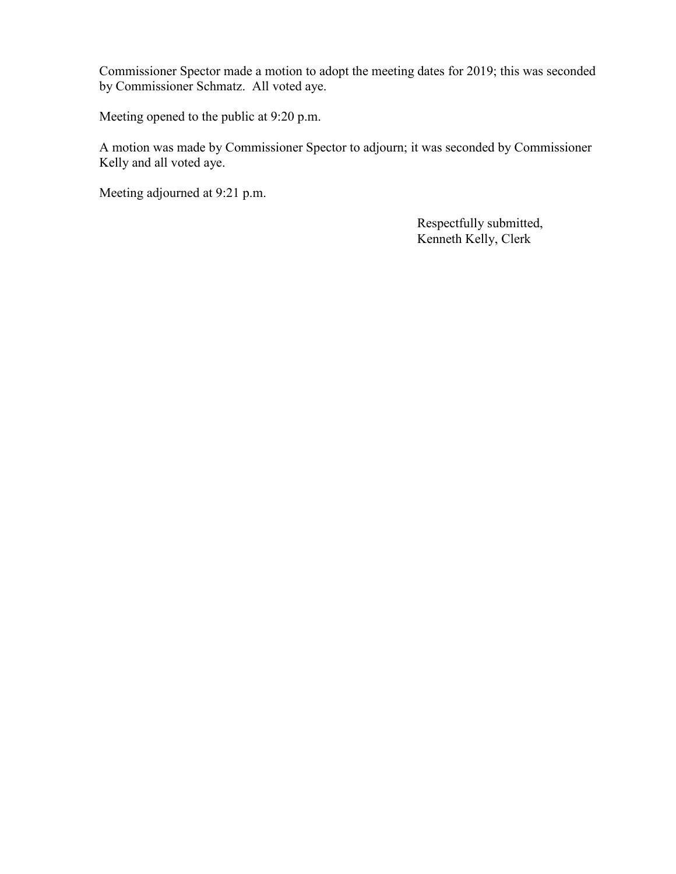Commissioner Spector made a motion to adopt the meeting dates for 2019; this was seconded by Commissioner Schmatz. All voted aye.

Meeting opened to the public at 9:20 p.m.

A motion was made by Commissioner Spector to adjourn; it was seconded by Commissioner Kelly and all voted aye.

Meeting adjourned at 9:21 p.m.

 Respectfully submitted, Kenneth Kelly, Clerk